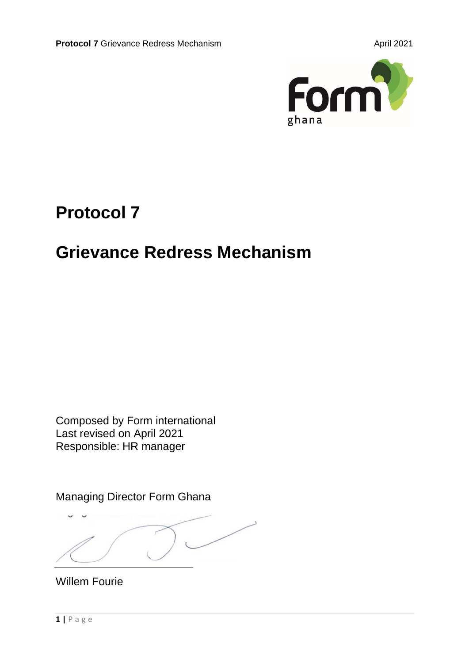

# **Protocol 7**

# **Grievance Redress Mechanism**

Composed by Form international Last revised on April 2021 Responsible: HR manager

Managing Director Form Ghana

د

Willem Fourie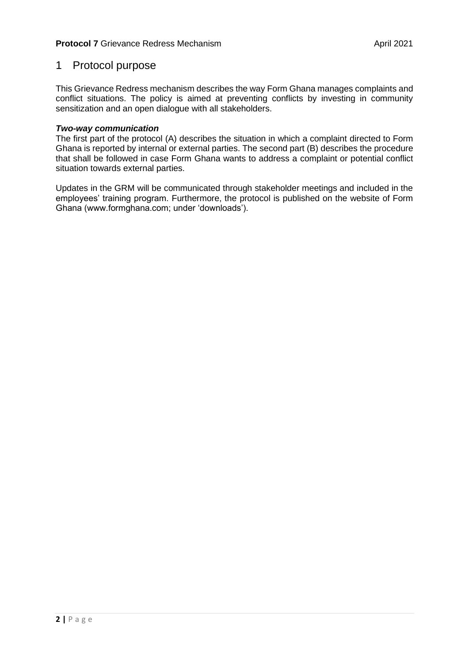## 1 Protocol purpose

This Grievance Redress mechanism describes the way Form Ghana manages complaints and conflict situations. The policy is aimed at preventing conflicts by investing in community sensitization and an open dialogue with all stakeholders.

## *Two-way communication*

The first part of the protocol (A) describes the situation in which a complaint directed to Form Ghana is reported by internal or external parties. The second part (B) describes the procedure that shall be followed in case Form Ghana wants to address a complaint or potential conflict situation towards external parties.

Updates in the GRM will be communicated through stakeholder meetings and included in the employees' training program. Furthermore, the protocol is published on the website of Form Ghana (www.formghana.com; under 'downloads').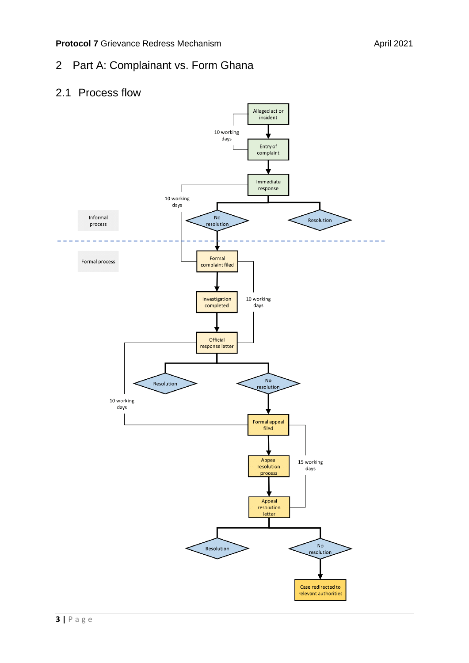# 2 Part A: Complainant vs. Form Ghana

## 2.1 Process flow

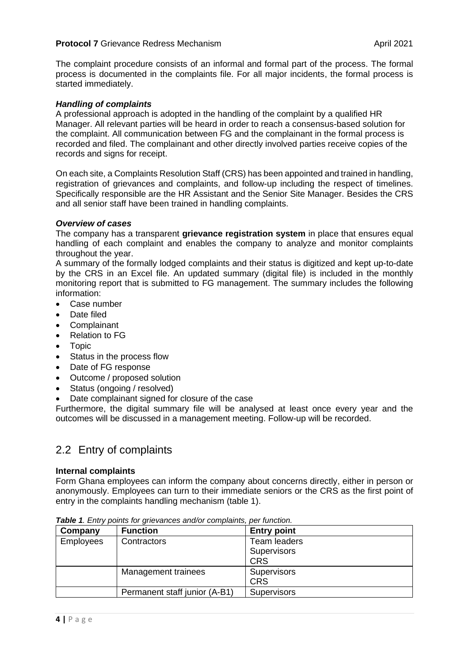The complaint procedure consists of an informal and formal part of the process. The formal process is documented in the complaints file. For all major incidents, the formal process is started immediately.

## *Handling of complaints*

A professional approach is adopted in the handling of the complaint by a qualified HR Manager. All relevant parties will be heard in order to reach a consensus-based solution for the complaint. All communication between FG and the complainant in the formal process is recorded and filed. The complainant and other directly involved parties receive copies of the records and signs for receipt.

On each site, a Complaints Resolution Staff (CRS) has been appointed and trained in handling, registration of grievances and complaints, and follow-up including the respect of timelines. Specifically responsible are the HR Assistant and the Senior Site Manager. Besides the CRS and all senior staff have been trained in handling complaints.

## *Overview of cases*

The company has a transparent **grievance registration system** in place that ensures equal handling of each complaint and enables the company to analyze and monitor complaints throughout the year.

A summary of the formally lodged complaints and their status is digitized and kept up-to-date by the CRS in an Excel file. An updated summary (digital file) is included in the monthly monitoring report that is submitted to FG management. The summary includes the following information:

- Case number
- Date filed
- Complainant
- Relation to FG
- Topic
- Status in the process flow
- Date of FG response
- Outcome / proposed solution
- Status (ongoing / resolved)
- Date complainant signed for closure of the case

Furthermore, the digital summary file will be analysed at least once every year and the outcomes will be discussed in a management meeting. Follow-up will be recorded.

## 2.2 Entry of complaints

## **Internal complaints**

Form Ghana employees can inform the company about concerns directly, either in person or anonymously. Employees can turn to their immediate seniors or the CRS as the first point of entry in the complaints handling mechanism (table 1).

| Company          | <b>Function</b>               | <b>Entry point</b>  |
|------------------|-------------------------------|---------------------|
| <b>Employees</b> | Contractors                   | <b>Team leaders</b> |
|                  |                               | <b>Supervisors</b>  |
|                  |                               | <b>CRS</b>          |
|                  | Management trainees           | <b>Supervisors</b>  |
|                  |                               | <b>CRS</b>          |
|                  | Permanent staff junior (A-B1) | <b>Supervisors</b>  |

*Table 1. Entry points for grievances and/or complaints, per function.*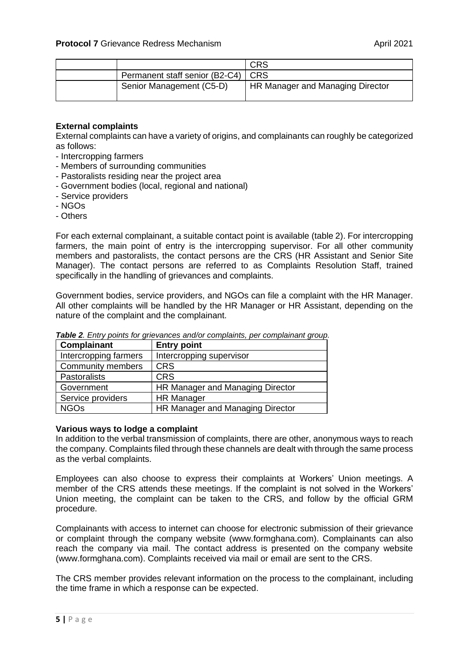|                                      | <b>CRS</b>                       |
|--------------------------------------|----------------------------------|
| Permanent staff senior (B2-C4)   CRS |                                  |
| Senior Management (C5-D)             | HR Manager and Managing Director |

## **External complaints**

External complaints can have a variety of origins, and complainants can roughly be categorized as follows:

- Intercropping farmers
- Members of surrounding communities
- Pastoralists residing near the project area
- Government bodies (local, regional and national)
- Service providers
- NGOs
- Others

For each external complainant, a suitable contact point is available (table 2). For intercropping farmers, the main point of entry is the intercropping supervisor. For all other community members and pastoralists, the contact persons are the CRS (HR Assistant and Senior Site Manager). The contact persons are referred to as Complaints Resolution Staff, trained specifically in the handling of grievances and complaints.

Government bodies, service providers, and NGOs can file a complaint with the HR Manager. All other complaints will be handled by the HR Manager or HR Assistant, depending on the nature of the complaint and the complainant.

| Complainant           | <b>Entry point</b>               |
|-----------------------|----------------------------------|
| Intercropping farmers | Intercropping supervisor         |
| Community members     | <b>CRS</b>                       |
| <b>Pastoralists</b>   | <b>CRS</b>                       |
| Government            | HR Manager and Managing Director |
| Service providers     | <b>HR Manager</b>                |
| <b>NGOs</b>           | HR Manager and Managing Director |

*Table 2. Entry points for grievances and/or complaints, per complainant group.*

#### **Various ways to lodge a complaint**

In addition to the verbal transmission of complaints, there are other, anonymous ways to reach the company. Complaints filed through these channels are dealt with through the same process as the verbal complaints.

Employees can also choose to express their complaints at Workers' Union meetings. A member of the CRS attends these meetings. If the complaint is not solved in the Workers' Union meeting, the complaint can be taken to the CRS, and follow by the official GRM procedure.

Complainants with access to internet can choose for electronic submission of their grievance or complaint through the company website (www.formghana.com). Complainants can also reach the company via mail. The contact address is presented on the company website (www.formghana.com). Complaints received via mail or email are sent to the CRS.

The CRS member provides relevant information on the process to the complainant, including the time frame in which a response can be expected.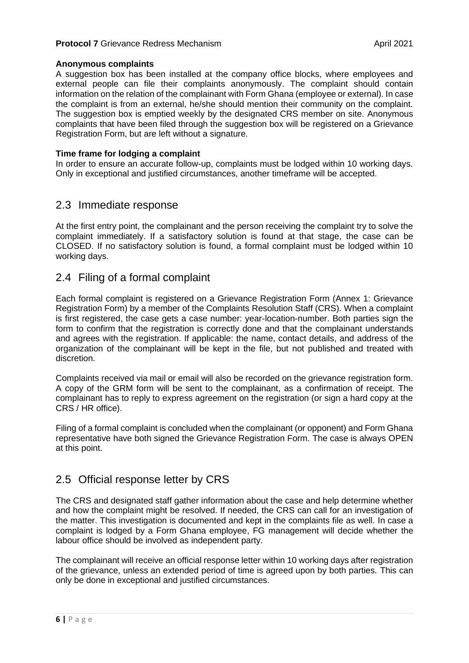## **Anonymous complaints**

A suggestion box has been installed at the company office blocks, where employees and external people can file their complaints anonymously. The complaint should contain information on the relation of the complainant with Form Ghana (employee or external). In case the complaint is from an external, he/she should mention their community on the complaint. The suggestion box is emptied weekly by the designated CRS member on site. Anonymous complaints that have been filed through the suggestion box will be registered on a Grievance Registration Form, but are left without a signature.

## **Time frame for lodging a complaint**

In order to ensure an accurate follow-up, complaints must be lodged within 10 working days. Only in exceptional and justified circumstances, another timeframe will be accepted.

## 2.3 Immediate response

At the first entry point, the complainant and the person receiving the complaint try to solve the complaint immediately. If a satisfactory solution is found at that stage, the case can be CLOSED. If no satisfactory solution is found, a formal complaint must be lodged within 10 working days.

## 2.4 Filing of a formal complaint

Each formal complaint is registered on a Grievance Registration Form (Annex 1: Grievance Registration Form) by a member of the Complaints Resolution Staff (CRS). When a complaint is first registered, the case gets a case number: year-location-number. Both parties sign the form to confirm that the registration is correctly done and that the complainant understands and agrees with the registration. If applicable: the name, contact details, and address of the organization of the complainant will be kept in the file, but not published and treated with discretion.

Complaints received via mail or email will also be recorded on the grievance registration form. A copy of the GRM form will be sent to the complainant, as a confirmation of receipt. The complainant has to reply to express agreement on the registration (or sign a hard copy at the CRS / HR office).

Filing of a formal complaint is concluded when the complainant (or opponent) and Form Ghana representative have both signed the Grievance Registration Form. The case is always OPEN at this point.

## 2.5 Official response letter by CRS

The CRS and designated staff gather information about the case and help determine whether and how the complaint might be resolved. If needed, the CRS can call for an investigation of the matter. This investigation is documented and kept in the complaints file as well. In case a complaint is lodged by a Form Ghana employee, FG management will decide whether the labour office should be involved as independent party.

The complainant will receive an official response letter within 10 working days after registration of the grievance, unless an extended period of time is agreed upon by both parties. This can only be done in exceptional and justified circumstances.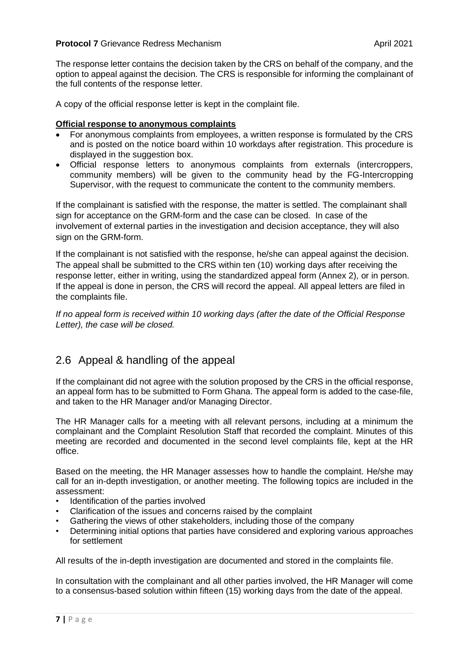The response letter contains the decision taken by the CRS on behalf of the company, and the option to appeal against the decision. The CRS is responsible for informing the complainant of the full contents of the response letter.

A copy of the official response letter is kept in the complaint file.

## **Official response to anonymous complaints**

- For anonymous complaints from employees, a written response is formulated by the CRS and is posted on the notice board within 10 workdays after registration. This procedure is displayed in the suggestion box.
- Official response letters to anonymous complaints from externals (intercroppers, community members) will be given to the community head by the FG-Intercropping Supervisor, with the request to communicate the content to the community members.

If the complainant is satisfied with the response, the matter is settled. The complainant shall sign for acceptance on the GRM-form and the case can be closed. In case of the involvement of external parties in the investigation and decision acceptance, they will also sign on the GRM-form.

If the complainant is not satisfied with the response, he/she can appeal against the decision. The appeal shall be submitted to the CRS within ten (10) working days after receiving the response letter, either in writing, using the standardized appeal form (Annex 2), or in person. If the appeal is done in person, the CRS will record the appeal. All appeal letters are filed in the complaints file.

*If no appeal form is received within 10 working days (after the date of the Official Response Letter), the case will be closed.*

## 2.6 Appeal & handling of the appeal

If the complainant did not agree with the solution proposed by the CRS in the official response, an appeal form has to be submitted to Form Ghana. The appeal form is added to the case-file, and taken to the HR Manager and/or Managing Director.

The HR Manager calls for a meeting with all relevant persons, including at a minimum the complainant and the Complaint Resolution Staff that recorded the complaint. Minutes of this meeting are recorded and documented in the second level complaints file, kept at the HR office.

Based on the meeting, the HR Manager assesses how to handle the complaint. He/she may call for an in-depth investigation, or another meeting. The following topics are included in the assessment:

- Identification of the parties involved
- Clarification of the issues and concerns raised by the complaint
- Gathering the views of other stakeholders, including those of the company
- Determining initial options that parties have considered and exploring various approaches for settlement

All results of the in-depth investigation are documented and stored in the complaints file.

In consultation with the complainant and all other parties involved, the HR Manager will come to a consensus-based solution within fifteen (15) working days from the date of the appeal.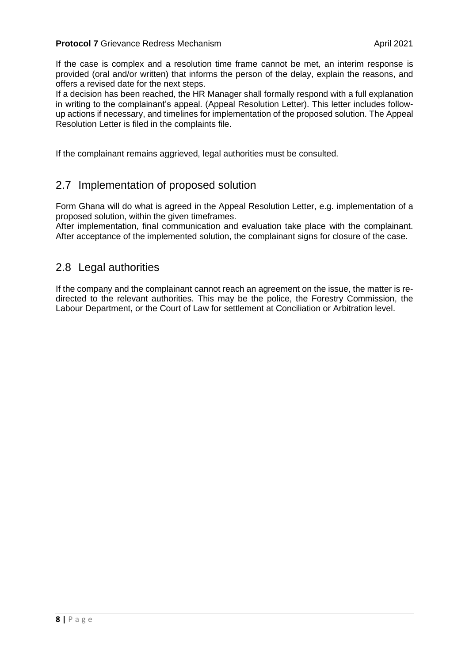If the case is complex and a resolution time frame cannot be met, an interim response is provided (oral and/or written) that informs the person of the delay, explain the reasons, and offers a revised date for the next steps.

If a decision has been reached, the HR Manager shall formally respond with a full explanation in writing to the complainant's appeal. (Appeal Resolution Letter). This letter includes followup actions if necessary, and timelines for implementation of the proposed solution. The Appeal Resolution Letter is filed in the complaints file.

If the complainant remains aggrieved, legal authorities must be consulted.

## 2.7 Implementation of proposed solution

Form Ghana will do what is agreed in the Appeal Resolution Letter, e.g. implementation of a proposed solution, within the given timeframes.

After implementation, final communication and evaluation take place with the complainant. After acceptance of the implemented solution, the complainant signs for closure of the case.

## 2.8 Legal authorities

If the company and the complainant cannot reach an agreement on the issue, the matter is redirected to the relevant authorities. This may be the police, the Forestry Commission, the Labour Department, or the Court of Law for settlement at Conciliation or Arbitration level.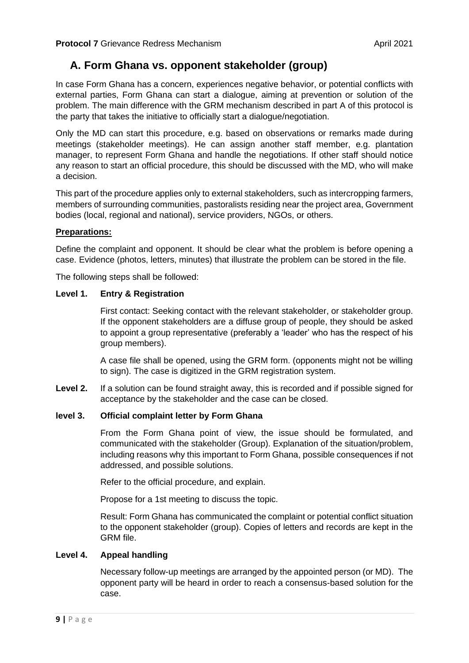# **A. Form Ghana vs. opponent stakeholder (group)**

In case Form Ghana has a concern, experiences negative behavior, or potential conflicts with external parties, Form Ghana can start a dialogue, aiming at prevention or solution of the problem. The main difference with the GRM mechanism described in part A of this protocol is the party that takes the initiative to officially start a dialogue/negotiation.

Only the MD can start this procedure, e.g. based on observations or remarks made during meetings (stakeholder meetings). He can assign another staff member, e.g. plantation manager, to represent Form Ghana and handle the negotiations. If other staff should notice any reason to start an official procedure, this should be discussed with the MD, who will make a decision.

This part of the procedure applies only to external stakeholders, such as intercropping farmers, members of surrounding communities, pastoralists residing near the project area, Government bodies (local, regional and national), service providers, NGOs, or others.

## **Preparations:**

Define the complaint and opponent. It should be clear what the problem is before opening a case. Evidence (photos, letters, minutes) that illustrate the problem can be stored in the file.

The following steps shall be followed:

## **Level 1. Entry & Registration**

First contact: Seeking contact with the relevant stakeholder, or stakeholder group. If the opponent stakeholders are a diffuse group of people, they should be asked to appoint a group representative (preferably a 'leader' who has the respect of his group members).

A case file shall be opened, using the GRM form. (opponents might not be willing to sign). The case is digitized in the GRM registration system.

**Level 2.** If a solution can be found straight away, this is recorded and if possible signed for acceptance by the stakeholder and the case can be closed.

## **level 3. Official complaint letter by Form Ghana**

From the Form Ghana point of view, the issue should be formulated, and communicated with the stakeholder (Group). Explanation of the situation/problem, including reasons why this important to Form Ghana, possible consequences if not addressed, and possible solutions.

Refer to the official procedure, and explain.

Propose for a 1st meeting to discuss the topic.

Result: Form Ghana has communicated the complaint or potential conflict situation to the opponent stakeholder (group). Copies of letters and records are kept in the GRM file.

## **Level 4. Appeal handling**

Necessary follow-up meetings are arranged by the appointed person (or MD). The opponent party will be heard in order to reach a consensus-based solution for the case.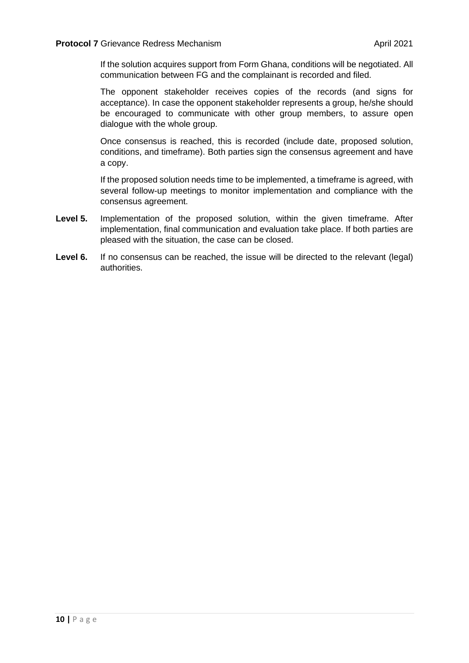If the solution acquires support from Form Ghana, conditions will be negotiated. All communication between FG and the complainant is recorded and filed.

The opponent stakeholder receives copies of the records (and signs for acceptance). In case the opponent stakeholder represents a group, he/she should be encouraged to communicate with other group members, to assure open dialogue with the whole group.

Once consensus is reached, this is recorded (include date, proposed solution, conditions, and timeframe). Both parties sign the consensus agreement and have a copy.

If the proposed solution needs time to be implemented, a timeframe is agreed, with several follow-up meetings to monitor implementation and compliance with the consensus agreement.

- **Level 5.** Implementation of the proposed solution, within the given timeframe. After implementation, final communication and evaluation take place. If both parties are pleased with the situation, the case can be closed.
- **Level 6.** If no consensus can be reached, the issue will be directed to the relevant (legal) authorities.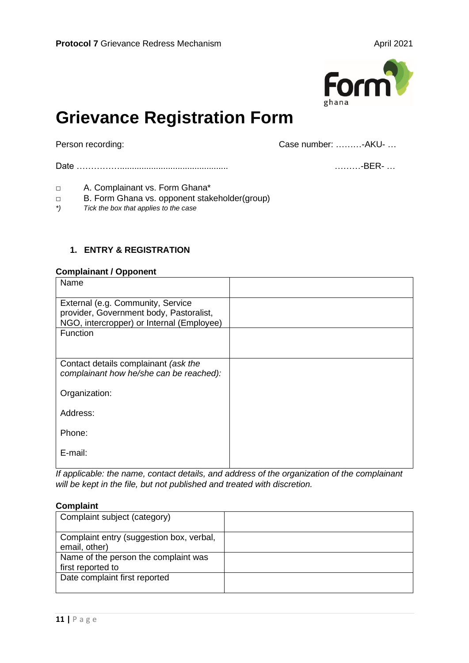

# **Grievance Registration Form**

Person recording: The contract of the case is contracted to case number: .......... - AKU- ...

Date ……………............................................. ………-BER- …

- □ A. Complainant vs. Form Ghana\*
- □ B. Form Ghana vs. opponent stakeholder(group)
- *\*) Tick the box that applies to the case*

## **1. ENTRY & REGISTRATION**

#### **Complainant / Opponent**

| Name                                                                                                                      |  |
|---------------------------------------------------------------------------------------------------------------------------|--|
| External (e.g. Community, Service<br>provider, Government body, Pastoralist,<br>NGO, intercropper) or Internal (Employee) |  |
| Function                                                                                                                  |  |
| Contact details complainant (ask the<br>complainant how he/she can be reached):                                           |  |
| Organization:                                                                                                             |  |
| Address:                                                                                                                  |  |
| Phone:                                                                                                                    |  |
| E-mail:                                                                                                                   |  |

*If applicable: the name, contact details, and address of the organization of the complainant will be kept in the file, but not published and treated with discretion.*

## **Complaint**

| Complaint subject (category)                              |  |
|-----------------------------------------------------------|--|
| Complaint entry (suggestion box, verbal,<br>email, other) |  |
| Name of the person the complaint was<br>first reported to |  |
| Date complaint first reported                             |  |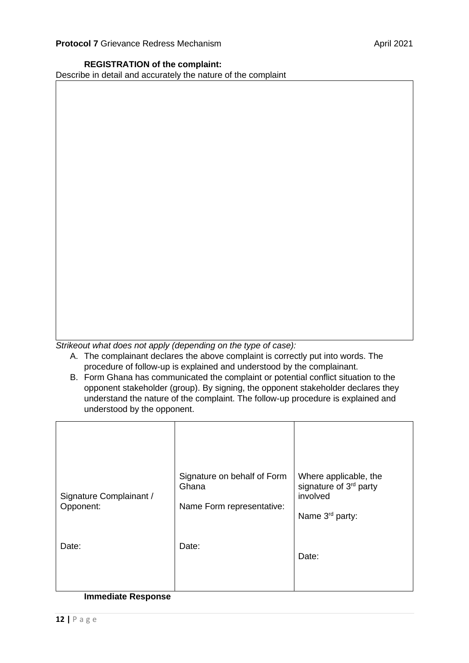## **REGISTRATION of the complaint:**

Describe in detail and accurately the nature of the complaint

*Strikeout what does not apply (depending on the type of case):* 

- A. The complainant declares the above complaint is correctly put into words. The procedure of follow-up is explained and understood by the complainant.
- B. Form Ghana has communicated the complaint or potential conflict situation to the opponent stakeholder (group). By signing, the opponent stakeholder declares they understand the nature of the complaint. The follow-up procedure is explained and understood by the opponent.

| Signature Complainant /<br>Opponent: | Signature on behalf of Form<br>Ghana<br>Name Form representative: | Where applicable, the<br>signature of 3 <sup>rd</sup> party<br>involved<br>Name 3 <sup>rd</sup> party: |
|--------------------------------------|-------------------------------------------------------------------|--------------------------------------------------------------------------------------------------------|
| Date:                                | Date:                                                             | Date:                                                                                                  |

#### **Immediate Response**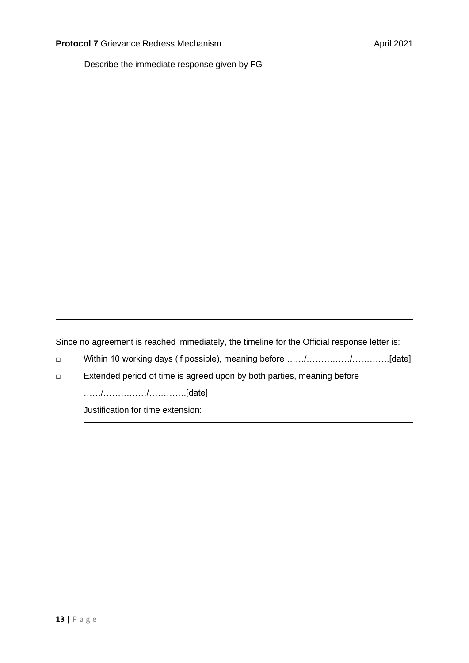Describe the immediate response given by FG

Since no agreement is reached immediately, the timeline for the Official response letter is:

- □ Within 10 working days (if possible), meaning before ……/……………/………….[date]
- □ Extended period of time is agreed upon by both parties, meaning before

……/……………/………….[date]

Justification for time extension: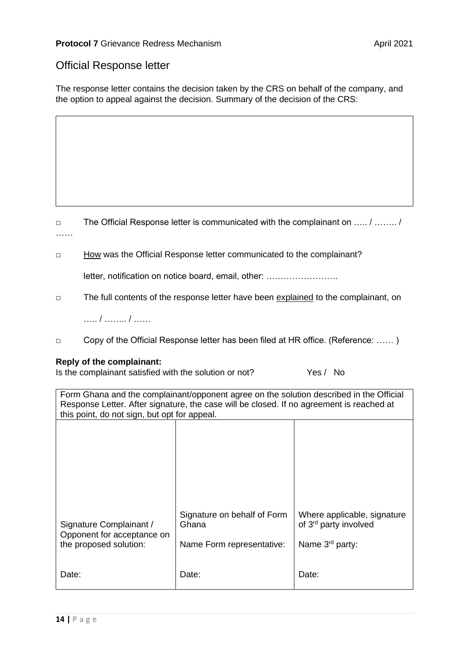## Official Response letter

The response letter contains the decision taken by the CRS on behalf of the company, and the option to appeal against the decision. Summary of the decision of the CRS:

□ The Official Response letter is communicated with the complainant on ….. / …….. / ……

□ How was the Official Response letter communicated to the complainant?

letter, notification on notice board, email, other: …………………….

□ The full contents of the response letter have been explained to the complainant, on

….. / …….. / ……

□ Copy of the Official Response letter has been filed at HR office. (Reference: …… )

## **Reply of the complainant:**

Is the complainant satisfied with the solution or not? Yes / No

Form Ghana and the complainant/opponent agree on the solution described in the Official Response Letter. After signature, the case will be closed. If no agreement is reached at this point, do not sign, but opt for appeal.

| and point, do not digit, but opt for appeal.                                    |                                                                   |                                                                                                 |  |
|---------------------------------------------------------------------------------|-------------------------------------------------------------------|-------------------------------------------------------------------------------------------------|--|
|                                                                                 |                                                                   |                                                                                                 |  |
| Signature Complainant /<br>Opponent for acceptance on<br>the proposed solution: | Signature on behalf of Form<br>Ghana<br>Name Form representative: | Where applicable, signature<br>of 3 <sup>rd</sup> party involved<br>Name 3 <sup>rd</sup> party: |  |
| Date:                                                                           | Date:                                                             | Date:                                                                                           |  |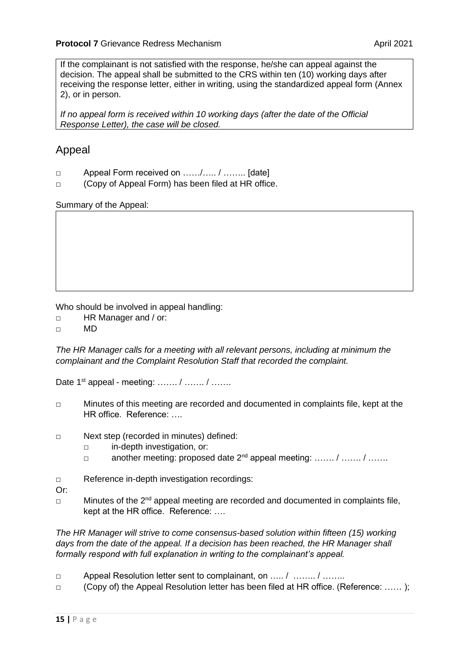If the complainant is not satisfied with the response, he/she can appeal against the decision. The appeal shall be submitted to the CRS within ten (10) working days after receiving the response letter, either in writing, using the standardized appeal form (Annex 2), or in person.

*If no appeal form is received within 10 working days (after the date of the Official Response Letter), the case will be closed.* 

# Appeal

- □ Appeal Form received on ....../..... / ........ [date]
- □ (Copy of Appeal Form) has been filed at HR office.

Summary of the Appeal:

Who should be involved in appeal handling:

- □ HR Manager and / or:
- □ MD

*The HR Manager calls for a meeting with all relevant persons, including at minimum the complainant and the Complaint Resolution Staff that recorded the complaint.* 

Date 1<sup>st</sup> appeal - meeting: ....... / ....... / .......

- □ Minutes of this meeting are recorded and documented in complaints file, kept at the HR office. Reference: ….
- □ Next step (recorded in minutes) defined:
	- □ in-depth investigation, or:
	- $\Box$  another meeting: proposed date  $2^{nd}$  appeal meeting: ……. / ……. / ……
- □ Reference in-depth investigation recordings:

Or:

□ Minutes of the 2<sup>nd</sup> appeal meeting are recorded and documented in complaints file, kept at the HR office. Reference: ….

*The HR Manager will strive to come consensus-based solution within fifteen (15) working*  days from the date of the appeal. If a decision has been reached, the HR Manager shall *formally respond with full explanation in writing to the complainant's appeal.*

- □ Appeal Resolution letter sent to complainant, on …… / ……… / ………
- □ (Copy of) the Appeal Resolution letter has been filed at HR office. (Reference: …… );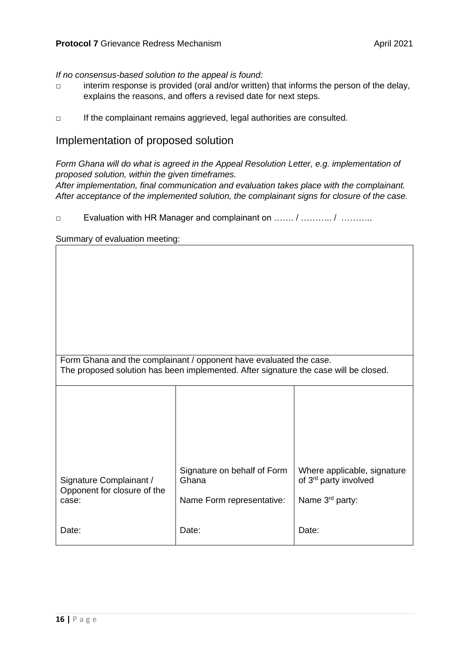## *If no consensus-based solution to the appeal is found:*

- □ interim response is provided (oral and/or written) that informs the person of the delay, explains the reasons, and offers a revised date for next steps.
- □ If the complainant remains aggrieved, legal authorities are consulted.

## Implementation of proposed solution

*Form Ghana will do what is agreed in the Appeal Resolution Letter, e.g. implementation of proposed solution, within the given timeframes. After implementation, final communication and evaluation takes place with the complainant.* 

*After acceptance of the implemented solution, the complainant signs for closure of the case.*

□ Evaluation with HR Manager and complainant on ……. / ………… / …………

Summary of evaluation meeting:

| Form Ghana and the complainant / opponent have evaluated the case.<br>The proposed solution has been implemented. After signature the case will be closed. |                                      |                                                                  |
|------------------------------------------------------------------------------------------------------------------------------------------------------------|--------------------------------------|------------------------------------------------------------------|
|                                                                                                                                                            |                                      |                                                                  |
| Signature Complainant /<br>Opponent for closure of the                                                                                                     | Signature on behalf of Form<br>Ghana | Where applicable, signature<br>of 3 <sup>rd</sup> party involved |
| case:<br>Date:                                                                                                                                             | Name Form representative:<br>Date:   | Name $3rd$ party:<br>Date:                                       |